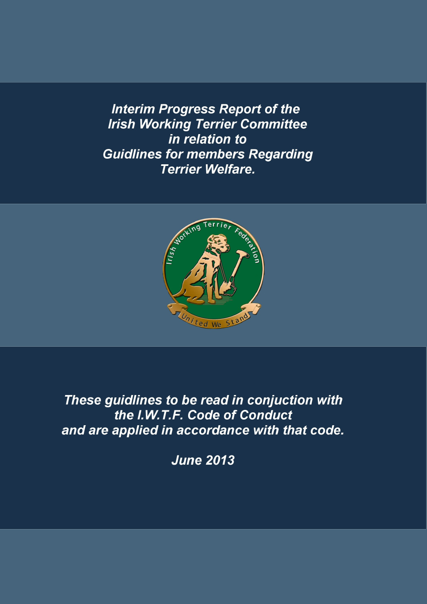**Interim Progress Report of the Irish Working Terrier Committee** in relation to **Guidlines for members Regarding Terrier Welfare.** 



These guidlines to be read in conjuction with the I.W.T.F. Code of Conduct and are applied in accordance with that code.

**June 2013**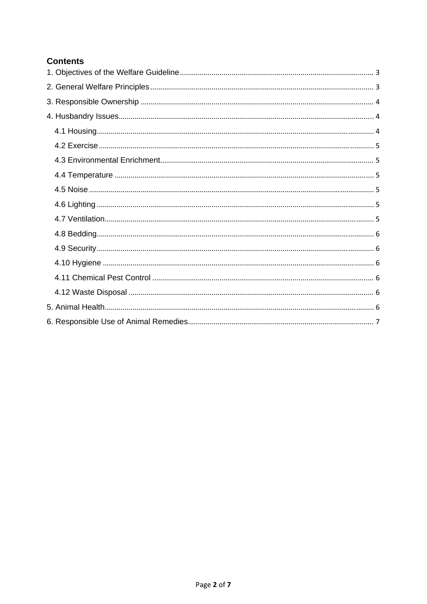# **Contents**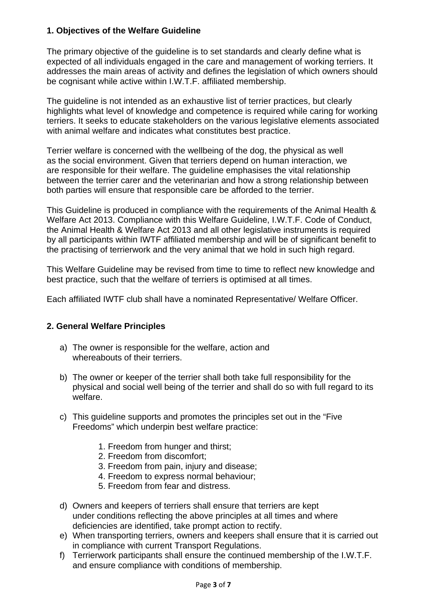### **1. Objectives of the Welfare Guideline**

The primary objective of the guideline is to set standards and clearly define what is expected of all individuals engaged in the care and management of working terriers. It addresses the main areas of activity and defines the legislation of which owners should be cognisant while active within I.W.T.F. affiliated membership.

The guideline is not intended as an exhaustive list of terrier practices, but clearly highlights what level of knowledge and competence is required while caring for working terriers. It seeks to educate stakeholders on the various legislative elements associated with animal welfare and indicates what constitutes best practice.

Terrier welfare is concerned with the wellbeing of the dog, the physical as well as the social environment. Given that terriers depend on human interaction, we are responsible for their welfare. The guideline emphasises the vital relationship between the terrier carer and the veterinarian and how a strong relationship between both parties will ensure that responsible care be afforded to the terrier.

This Guideline is produced in compliance with the requirements of the Animal Health & Welfare Act 2013. Compliance with this Welfare Guideline, I.W.T.F. Code of Conduct, the Animal Health & Welfare Act 2013 and all other legislative instruments is required by all participants within IWTF affiliated membership and will be of significant benefit to the practising of terrierwork and the very animal that we hold in such high regard.

This Welfare Guideline may be revised from time to time to reflect new knowledge and best practice, such that the welfare of terriers is optimised at all times.

Each affiliated IWTF club shall have a nominated Representative/ Welfare Officer.

### **2. General Welfare Principles**

- a) The owner is responsible for the welfare, action and whereabouts of their terriers.
- b) The owner or keeper of the terrier shall both take full responsibility for the physical and social well being of the terrier and shall do so with full regard to its welfare.
- c) This guideline supports and promotes the principles set out in the "Five Freedoms" which underpin best welfare practice:
	- 1. Freedom from hunger and thirst;
	- 2. Freedom from discomfort;
	- 3. Freedom from pain, injury and disease;
	- 4. Freedom to express normal behaviour;
	- 5. Freedom from fear and distress.
- d) Owners and keepers of terriers shall ensure that terriers are kept under conditions reflecting the above principles at all times and where deficiencies are identified, take prompt action to rectify.
- e) When transporting terriers, owners and keepers shall ensure that it is carried out in compliance with current Transport Regulations.
- f) Terrierwork participants shall ensure the continued membership of the I.W.T.F. and ensure compliance with conditions of membership.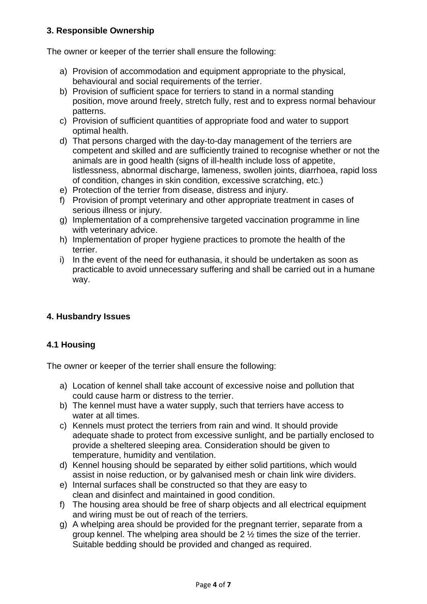### **3. Responsible Ownership**

The owner or keeper of the terrier shall ensure the following:

- a) Provision of accommodation and equipment appropriate to the physical, behavioural and social requirements of the terrier.
- b) Provision of sufficient space for terriers to stand in a normal standing position, move around freely, stretch fully, rest and to express normal behaviour patterns.
- c) Provision of sufficient quantities of appropriate food and water to support optimal health.
- d) That persons charged with the day-to-day management of the terriers are competent and skilled and are sufficiently trained to recognise whether or not the animals are in good health (signs of ill-health include loss of appetite, listlessness, abnormal discharge, lameness, swollen joints, diarrhoea, rapid loss of condition, changes in skin condition, excessive scratching, etc.)
- e) Protection of the terrier from disease, distress and injury.
- f) Provision of prompt veterinary and other appropriate treatment in cases of serious illness or injury.
- g) Implementation of a comprehensive targeted vaccination programme in line with veterinary advice.
- h) Implementation of proper hygiene practices to promote the health of the terrier.
- i) In the event of the need for euthanasia, it should be undertaken as soon as practicable to avoid unnecessary suffering and shall be carried out in a humane way.

## **4. Husbandry Issues**

### **4.1 Housing**

The owner or keeper of the terrier shall ensure the following:

- a) Location of kennel shall take account of excessive noise and pollution that could cause harm or distress to the terrier.
- b) The kennel must have a water supply, such that terriers have access to water at all times.
- c) Kennels must protect the terriers from rain and wind. It should provide adequate shade to protect from excessive sunlight, and be partially enclosed to provide a sheltered sleeping area. Consideration should be given to temperature, humidity and ventilation.
- d) Kennel housing should be separated by either solid partitions, which would assist in noise reduction, or by galvanised mesh or chain link wire dividers.
- e) Internal surfaces shall be constructed so that they are easy to clean and disinfect and maintained in good condition.
- f) The housing area should be free of sharp objects and all electrical equipment and wiring must be out of reach of the terriers.
- g) A whelping area should be provided for the pregnant terrier, separate from a group kennel. The whelping area should be 2 ½ times the size of the terrier. Suitable bedding should be provided and changed as required.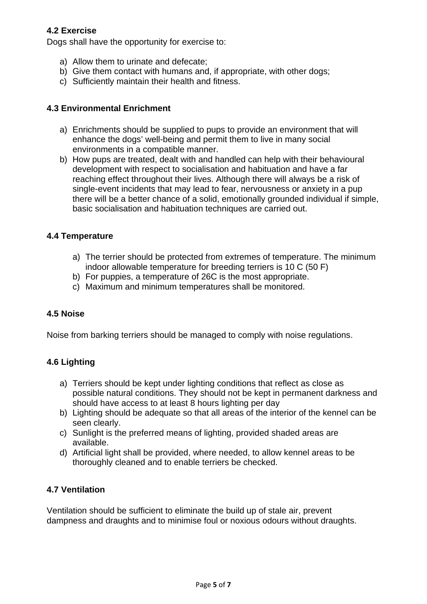### **4.2 Exercise**

Dogs shall have the opportunity for exercise to:

- a) Allow them to urinate and defecate;
- b) Give them contact with humans and, if appropriate, with other dogs;
- c) Sufficiently maintain their health and fitness.

#### **4.3 Environmental Enrichment**

- a) Enrichments should be supplied to pups to provide an environment that will enhance the dogs' well-being and permit them to live in many social environments in a compatible manner.
- b) How pups are treated, dealt with and handled can help with their behavioural development with respect to socialisation and habituation and have a far reaching effect throughout their lives. Although there will always be a risk of single-event incidents that may lead to fear, nervousness or anxiety in a pup there will be a better chance of a solid, emotionally grounded individual if simple, basic socialisation and habituation techniques are carried out.

#### **4.4 Temperature**

- a) The terrier should be protected from extremes of temperature. The minimum indoor allowable temperature for breeding terriers is 10 C (50 F)
- b) For puppies, a temperature of 26C is the most appropriate.
- c) Maximum and minimum temperatures shall be monitored.

#### **4.5 Noise**

Noise from barking terriers should be managed to comply with noise regulations.

#### **4.6 Lighting**

- a) Terriers should be kept under lighting conditions that reflect as close as possible natural conditions. They should not be kept in permanent darkness and should have access to at least 8 hours lighting per day
- b) Lighting should be adequate so that all areas of the interior of the kennel can be seen clearly.
- c) Sunlight is the preferred means of lighting, provided shaded areas are available.
- d) Artificial light shall be provided, where needed, to allow kennel areas to be thoroughly cleaned and to enable terriers be checked.

### **4.7 Ventilation**

Ventilation should be sufficient to eliminate the build up of stale air, prevent dampness and draughts and to minimise foul or noxious odours without draughts.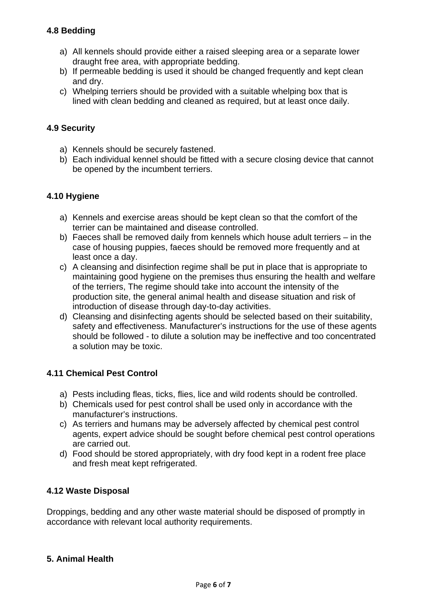### **4.8 Bedding**

- a) All kennels should provide either a raised sleeping area or a separate lower draught free area, with appropriate bedding.
- b) If permeable bedding is used it should be changed frequently and kept clean and dry.
- c) Whelping terriers should be provided with a suitable whelping box that is lined with clean bedding and cleaned as required, but at least once daily.

### **4.9 Security**

- a) Kennels should be securely fastened.
- b) Each individual kennel should be fitted with a secure closing device that cannot be opened by the incumbent terriers.

### **4.10 Hygiene**

- a) Kennels and exercise areas should be kept clean so that the comfort of the terrier can be maintained and disease controlled.
- b) Faeces shall be removed daily from kennels which house adult terriers in the case of housing puppies, faeces should be removed more frequently and at least once a day.
- c) A cleansing and disinfection regime shall be put in place that is appropriate to maintaining good hygiene on the premises thus ensuring the health and welfare of the terriers, The regime should take into account the intensity of the production site, the general animal health and disease situation and risk of introduction of disease through day-to-day activities.
- d) Cleansing and disinfecting agents should be selected based on their suitability, safety and effectiveness. Manufacturer's instructions for the use of these agents should be followed - to dilute a solution may be ineffective and too concentrated a solution may be toxic.

#### **4.11 Chemical Pest Control**

- a) Pests including fleas, ticks, flies, lice and wild rodents should be controlled.
- b) Chemicals used for pest control shall be used only in accordance with the manufacturer's instructions.
- c) As terriers and humans may be adversely affected by chemical pest control agents, expert advice should be sought before chemical pest control operations are carried out.
- d) Food should be stored appropriately, with dry food kept in a rodent free place and fresh meat kept refrigerated.

### **4.12 Waste Disposal**

Droppings, bedding and any other waste material should be disposed of promptly in accordance with relevant local authority requirements.

### **5. Animal Health**